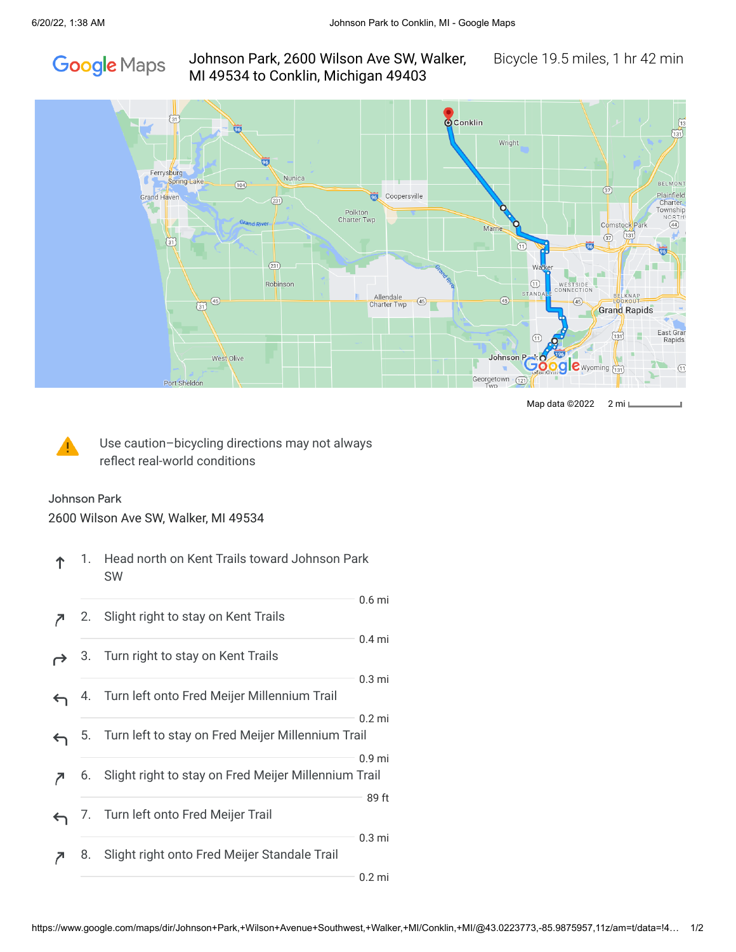

## Johnson Park, 2600 Wilson Ave SW, Walker, Bicycle 19.5 miles, 1 hr 42 min MI 49534 to Conklin, Michigan 49403



Map data ©2022 2 mi



Use caution–bicycling directions may not always reflect real-world conditions

## Johnson Park

2600 Wilson Ave SW, Walker, MI 49534

|   | 1. | Head north on Kent Trails toward Johnson Park<br>SW  |                   |
|---|----|------------------------------------------------------|-------------------|
|   | 2. | Slight right to stay on Kent Trails                  | 0.6 <sub>mi</sub> |
|   | З. | Turn right to stay on Kent Trails                    | 0.4 <sub>mi</sub> |
|   | 4. | Turn left onto Fred Meijer Millennium Trail          | 0.3 <sub>mi</sub> |
|   | 5. | Turn left to stay on Fred Meijer Millennium Trail    | $0.2$ mi          |
| 7 | 6. | Slight right to stay on Fred Meijer Millennium Trail | 0.9 <sub>mi</sub> |
|   | 7. | Turn left onto Fred Meijer Trail                     | 89 ft             |
|   | 8. | Slight right onto Fred Meijer Standale Trail         | $0.3$ mi          |
|   |    |                                                      | $0.2$ mi          |